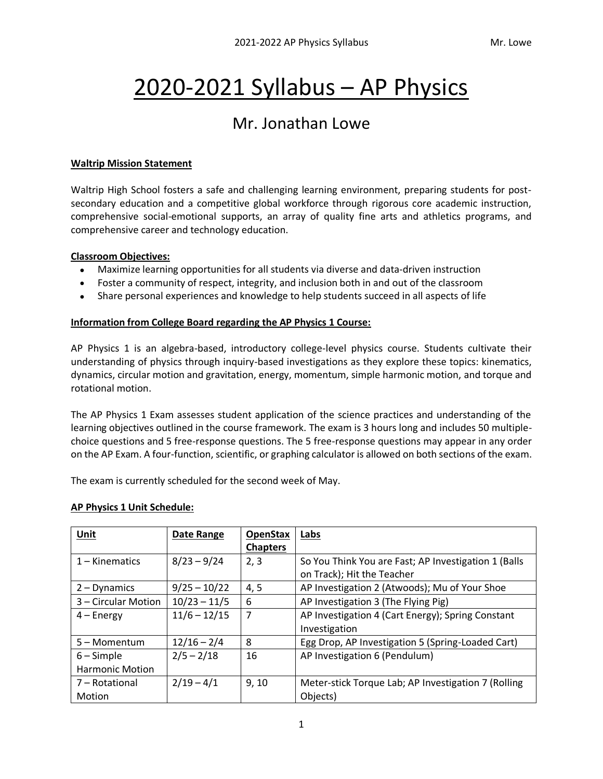# 2020-2021 Syllabus – AP Physics

# Mr. Jonathan Lowe

#### **Waltrip Mission Statement**

Waltrip High School fosters a safe and challenging learning environment, preparing students for postsecondary education and a competitive global workforce through rigorous core academic instruction, comprehensive social-emotional supports, an array of quality fine arts and athletics programs, and comprehensive career and technology education.

#### **Classroom Objectives:**

- Maximize learning opportunities for all students via diverse and data-driven instruction
- Foster a community of respect, integrity, and inclusion both in and out of the classroom
- Share personal experiences and knowledge to help students succeed in all aspects of life

#### **Information from College Board regarding the AP Physics 1 Course:**

AP Physics 1 is an algebra-based, introductory college-level physics course. Students cultivate their understanding of physics through inquiry-based investigations as they explore these topics: kinematics, dynamics, circular motion and gravitation, energy, momentum, simple harmonic motion, and torque and rotational motion.

The AP Physics 1 Exam assesses student application of the science practices and understanding of the learning objectives outlined in the course framework. The exam is 3 hours long and includes 50 multiplechoice questions and 5 free-response questions. The 5 free-response questions may appear in any order on the AP Exam. A four-function, scientific, or graphing calculator is allowed on both sections of the exam.

The exam is currently scheduled for the second week of May.

#### **AP Physics 1 Unit Schedule:**

| Unit                   | Date Range     | <b>OpenStax</b> | Labs                                                 |
|------------------------|----------------|-----------------|------------------------------------------------------|
|                        |                | <b>Chapters</b> |                                                      |
| $1 -$ Kinematics       | $8/23 - 9/24$  | 2, 3            | So You Think You are Fast; AP Investigation 1 (Balls |
|                        |                |                 | on Track); Hit the Teacher                           |
| $2 - Dynamics$         | $9/25 - 10/22$ | 4, 5            | AP Investigation 2 (Atwoods); Mu of Your Shoe        |
| 3 – Circular Motion    | $10/23 - 11/5$ | 6               | AP Investigation 3 (The Flying Pig)                  |
| $4 - Energy$           | $11/6 - 12/15$ | 7               | AP Investigation 4 (Cart Energy); Spring Constant    |
|                        |                |                 | Investigation                                        |
| 5 – Momentum           | $12/16 - 2/4$  | 8               | Egg Drop, AP Investigation 5 (Spring-Loaded Cart)    |
| $6 -$ Simple           | $2/5 - 2/18$   | 16              | AP Investigation 6 (Pendulum)                        |
| <b>Harmonic Motion</b> |                |                 |                                                      |
| 7 – Rotational         | $2/19 - 4/1$   | 9, 10           | Meter-stick Torque Lab; AP Investigation 7 (Rolling  |
| <b>Motion</b>          |                |                 | Objects)                                             |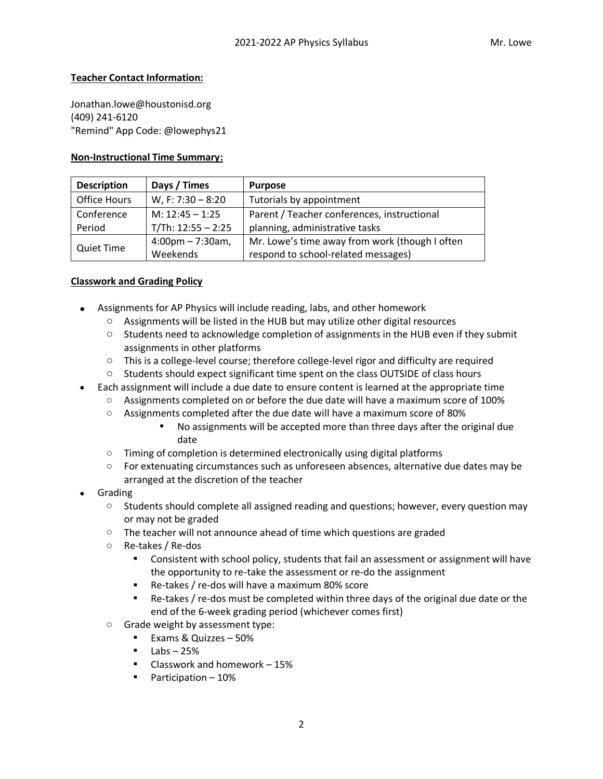#### **Teacher Contact Information:**

Jonathan.lowe@houstonisd.org (409) 241-6120 "Remind" App Code: @lowephys21

#### **Non-Instructional Time Summary:**

| <b>Description</b> | Days / Times                        | <b>Purpose</b>                                 |
|--------------------|-------------------------------------|------------------------------------------------|
| Office Hours       | W, F: 7:30 - 8:20                   | Tutorials by appointment                       |
| Conference         | M: $12:45 - 1:25$                   | Parent / Teacher conferences, instructional    |
| Period             | $T/Th: 12:55 - 2:25$                | planning, administrative tasks                 |
| <b>Quiet Time</b>  | $4:00 \text{pm} - 7:30 \text{am}$ , | Mr. Lowe's time away from work (though I often |
|                    | Weekends                            | respond to school-related messages)            |

#### **Classwork and Grading Policy**

- Assignments for AP Physics will include reading, labs, and other homework
	- $\circ$  Assignments will be listed in the HUB but may utilize other digital resources
	- $\circ$  Students need to acknowledge completion of assignments in the HUB even if they submit assignments in other platforms
	- $\circ$  This is a college-level course; therefore college-level rigor and difficulty are required
	- $\circ$  Students should expect significant time spent on the class OUTSIDE of class hours
- Each assignment will include a due date to ensure content is learned at the appropriate time
	- $\circ$  Assignments completed on or before the due date will have a maximum score of 100%
	- $\circ$  Assignments completed after the due date will have a maximum score of 80%
		- No assignments will be accepted more than three days after the original due date
	- o Timing of completion is determined electronically using digital platforms
	- $\circ$  For extenuating circumstances such as unforeseen absences, alternative due dates may be arranged at the discretion of the teacher
- Grading
	- $\circ$  Students should complete all assigned reading and questions; however, every question may or may not be graded
	- o The teacher will not announce ahead of time which questions are graded
	- o Re-takes / Re-dos
		- **•** Consistent with school policy, students that fail an assessment or assignment will have the opportunity to re-take the assessment or re-do the assignment
		- Re-takes / re-dos will have a maximum 80% score
		- Re-takes / re-dos must be completed within three days of the original due date or the end of the 6-week grading period (whichever comes first)
	- o Grade weight by assessment type:
		- Exams & Quizzes 50%
		- $\blacksquare$  Labs 25%
		- Classwork and homework  $-15%$
		- Participation 10%